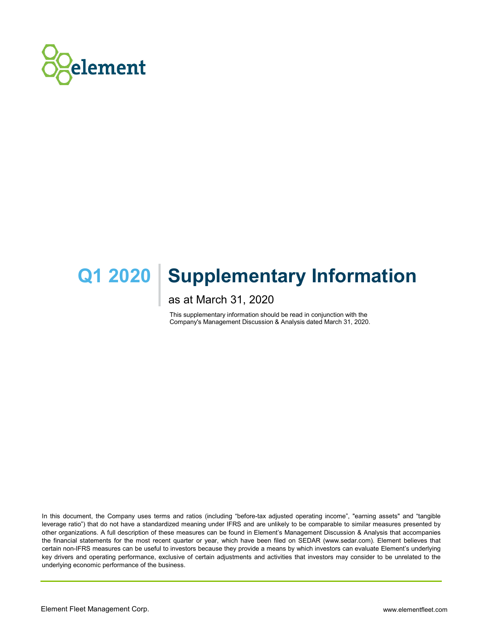

# **Q1 2020 | Supplementary Information**

as at March 31, 2020

This supplementary information should be read in conjunction with the Company's Management Discussion & Analysis dated March 31, 2020.

In this document, the Company uses terms and ratios (including "before-tax adjusted operating income", "earning assets" and "tangible leverage ratio") that do not have a standardized meaning under IFRS and are unlikely to be comparable to similar measures presented by other organizations. A full description of these measures can be found in Element's Management Discussion & Analysis that accompanies the financial statements for the most recent quarter or year, which have been filed on SEDAR (www.sedar.com). Element believes that certain non-IFRS measures can be useful to investors because they provide a means by which investors can evaluate Element's underlying key drivers and operating performance, exclusive of certain adjustments and activities that investors may consider to be unrelated to the underlying economic performance of the business.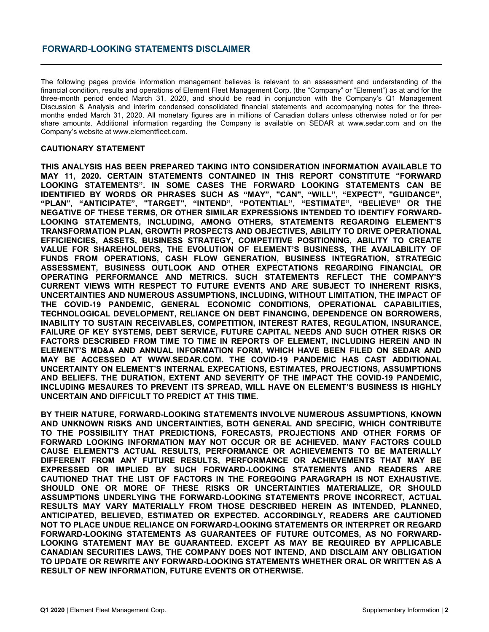# **FORWARD-LOOKING STATEMENTS DISCLAIMER**

The following pages provide information management believes is relevant to an assessment and understanding of the financial condition, results and operations of Element Fleet Management Corp. (the "Company" or "Element") as at and for the three-month period ended March 31, 2020, and should be read in conjunction with the Company's Q1 Management Discussion & Analysis and interim condensed consolidated financial statements and accompanying notes for the threemonths ended March 31, 2020. All monetary figures are in millions of Canadian dollars unless otherwise noted or for per share amounts. Additional information regarding the Company is available on SEDAR at www.sedar.com and on the Company's website at www.elementfleet.com.

#### **CAUTIONARY STATEMENT**

**THIS ANALYSIS HAS BEEN PREPARED TAKING INTO CONSIDERATION INFORMATION AVAILABLE TO MAY 11, 2020. CERTAIN STATEMENTS CONTAINED IN THIS REPORT CONSTITUTE "FORWARD LOOKING STATEMENTS". IN SOME CASES THE FORWARD LOOKING STATEMENTS CAN BE IDENTIFIED BY WORDS OR PHRASES SUCH AS "MAY", "CAN", "WILL", "EXPECT", "GUIDANCE", "PLAN", "ANTICIPATE", "TARGET", "INTEND", "POTENTIAL", "ESTIMATE", "BELIEVE" OR THE NEGATIVE OF THESE TERMS, OR OTHER SIMILAR EXPRESSIONS INTENDED TO IDENTIFY FORWARD-LOOKING STATEMENTS, INCLUDING, AMONG OTHERS, STATEMENTS REGARDING ELEMENT'S TRANSFORMATION PLAN, GROWTH PROSPECTS AND OBJECTIVES, ABILITY TO DRIVE OPERATIONAL EFFICIENCIES, ASSETS, BUSINESS STRATEGY, COMPETITIVE POSITIONING, ABILITY TO CREATE VALUE FOR SHAREHOLDERS, THE EVOLUTION OF ELEMENT'S BUSINESS, THE AVAILABILITY OF FUNDS FROM OPERATIONS, CASH FLOW GENERATION, BUSINESS INTEGRATION, STRATEGIC ASSESSMENT, BUSINESS OUTLOOK AND OTHER EXPECTATIONS REGARDING FINANCIAL OR OPERATING PERFORMANCE AND METRICS. SUCH STATEMENTS REFLECT THE COMPANY'S CURRENT VIEWS WITH RESPECT TO FUTURE EVENTS AND ARE SUBJECT TO INHERENT RISKS, UNCERTAINTIES AND NUMEROUS ASSUMPTIONS, INCLUDING, WITHOUT LIMITATION, THE IMPACT OF THE COVID-19 PANDEMIC, GENERAL ECONOMIC CONDITIONS, OPERATIONAL CAPABILITIES, TECHNOLOGICAL DEVELOPMENT, RELIANCE ON DEBT FINANCING, DEPENDENCE ON BORROWERS, INABILITY TO SUSTAIN RECEIVABLES, COMPETITION, INTEREST RATES, REGULATION, INSURANCE, FAILURE OF KEY SYSTEMS, DEBT SERVICE, FUTURE CAPITAL NEEDS AND SUCH OTHER RISKS OR FACTORS DESCRIBED FROM TIME TO TIME IN REPORTS OF ELEMENT, INCLUDING HEREIN AND IN ELEMENT'S MD&A AND ANNUAL INFORMATION FORM, WHICH HAVE BEEN FILED ON SEDAR AND MAY BE ACCESSED AT WWW.SEDAR.COM. THE COVID-19 PANDEMIC HAS CAST ADDITIONAL UNCERTAINTY ON ELEMENT'S INTERNAL EXPECATIONS, ESTIMATES, PROJECTIONS, ASSUMPTIONS AND BELIEFS. THE DURATION, EXTENT AND SEVERITY OF THE IMPACT THE COVID-19 PANDEMIC, INCLUDING MESAURES TO PREVENT ITS SPREAD, WILL HAVE ON ELEMENT'S BUSINESS IS HIGHLY UNCERTAIN AND DIFFICULT TO PREDICT AT THIS TIME.**

**BY THEIR NATURE, FORWARD-LOOKING STATEMENTS INVOLVE NUMEROUS ASSUMPTIONS, KNOWN AND UNKNOWN RISKS AND UNCERTAINTIES, BOTH GENERAL AND SPECIFIC, WHICH CONTRIBUTE TO THE POSSIBILITY THAT PREDICTIONS, FORECASTS, PROJECTIONS AND OTHER FORMS OF FORWARD LOOKING INFORMATION MAY NOT OCCUR OR BE ACHIEVED. MANY FACTORS COULD CAUSE ELEMENT'S ACTUAL RESULTS, PERFORMANCE OR ACHIEVEMENTS TO BE MATERIALLY DIFFERENT FROM ANY FUTURE RESULTS, PERFORMANCE OR ACHIEVEMENTS THAT MAY BE EXPRESSED OR IMPLIED BY SUCH FORWARD-LOOKING STATEMENTS AND READERS ARE CAUTIONED THAT THE LIST OF FACTORS IN THE FOREGOING PARAGRAPH IS NOT EXHAUSTIVE. SHOULD ONE OR MORE OF THESE RISKS OR UNCERTAINTIES MATERIALIZE, OR SHOULD ASSUMPTIONS UNDERLYING THE FORWARD-LOOKING STATEMENTS PROVE INCORRECT, ACTUAL RESULTS MAY VARY MATERIALLY FROM THOSE DESCRIBED HEREIN AS INTENDED, PLANNED, ANTICIPATED, BELIEVED, ESTIMATED OR EXPECTED. ACCORDINGLY, READERS ARE CAUTIONED NOT TO PLACE UNDUE RELIANCE ON FORWARD-LOOKING STATEMENTS OR INTERPRET OR REGARD FORWARD-LOOKING STATEMENTS AS GUARANTEES OF FUTURE OUTCOMES, AS NO FORWARD-LOOKING STATEMENT MAY BE GUARANTEED. EXCEPT AS MAY BE REQUIRED BY APPLICABLE CANADIAN SECURITIES LAWS, THE COMPANY DOES NOT INTEND, AND DISCLAIM ANY OBLIGATION TO UPDATE OR REWRITE ANY FORWARD-LOOKING STATEMENTS WHETHER ORAL OR WRITTEN AS A RESULT OF NEW INFORMATION, FUTURE EVENTS OR OTHERWISE.**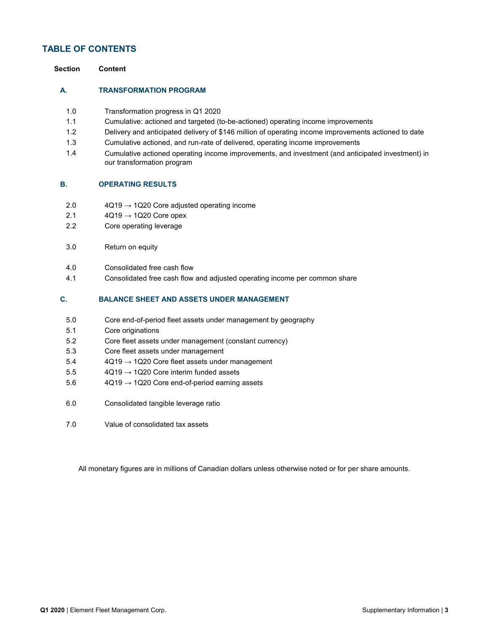# **TABLE OF CONTENTS**

#### **A. TRANSFORMATION PROGRAM**

- 1.0 Transformation progress in Q1 2020
- 1.1 Cumulative: actioned and targeted (to-be-actioned) operating income improvements
- 1.2 Delivery and anticipated delivery of \$146 million of operating income improvements actioned to date
- 1.3 Cumulative actioned, and run-rate of delivered, operating income improvements
- 1.4 Cumulative actioned operating income improvements, and investment (and anticipated investment) in our transformation program

#### **B. OPERATING RESULTS**

- 2.0  $4Q19 \rightarrow 1Q20$  Core adjusted operating income
- 2.1  $4Q19 \rightarrow 1Q20$  Core opex
- 2.2 Core operating leverage
- 3.0 Return on equity
- 4.0 Consolidated free cash flow
- 4.1 Consolidated free cash flow and adjusted operating income per common share

#### **C. BALANCE SHEET AND ASSETS UNDER MANAGEMENT**

- 5.0 Core end-of-period fleet assets under management by geography
- 5.1 Core originations
- 5.2 Core fleet assets under management (constant currency)
- 5.3 Core fleet assets under management
- $5.4$   $4Q19 \rightarrow 1Q20$  Core fleet assets under management
- $5.5$   $4Q19 \rightarrow 1Q20$  Core interim funded assets
- 5.6  $4Q19 \rightarrow 1Q20$  Core end-of-period earning assets
- 6.0 Consolidated tangible leverage ratio
- 7.0 Value of consolidated tax assets

All monetary figures are in millions of Canadian dollars unless otherwise noted or for per share amounts.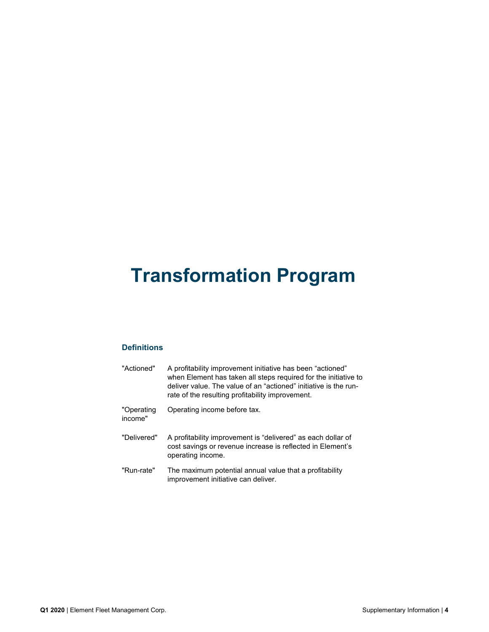# **Transformation Program**

# **Definitions**

| "Actioned"            | A profitability improvement initiative has been "actioned"<br>when Element has taken all steps required for the initiative to<br>deliver value. The value of an "actioned" initiative is the run-<br>rate of the resulting profitability improvement. |
|-----------------------|-------------------------------------------------------------------------------------------------------------------------------------------------------------------------------------------------------------------------------------------------------|
| "Operating<br>income" | Operating income before tax.                                                                                                                                                                                                                          |
| "Delivered"           | A profitability improvement is "delivered" as each dollar of<br>cost savings or revenue increase is reflected in Element's<br>operating income.                                                                                                       |
| "Run-rate"            | The maximum potential annual value that a profitability<br>improvement initiative can deliver.                                                                                                                                                        |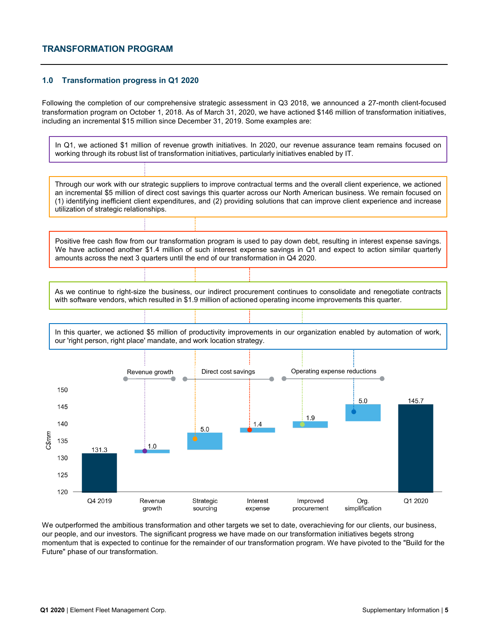# **TRANSFORMATION PROGRAM**

### **1.0 Transformation progress in Q1 2020**

Following the completion of our comprehensive strategic assessment in Q3 2018, we announced a 27-month client-focused transformation program on October 1, 2018. As of March 31, 2020, we have actioned \$146 million of transformation initiatives, including an incremental \$15 million since December 31, 2019. Some examples are:

In Q1, we actioned \$1 million of revenue growth initiatives. In 2020, our revenue assurance team remains focused on working through its robust list of transformation initiatives, particularly initiatives enabled by IT. Through our work with our strategic suppliers to improve contractual terms and the overall client experience, we actioned an incremental \$5 million of direct cost savings this quarter across our North American business. We remain focused on (1) identifying inefficient client expenditures, and (2) providing solutions that can improve client experience and increase utilization of strategic relationships. Positive free cash flow from our transformation program is used to pay down debt, resulting in interest expense savings. We have actioned another \$1.4 million of such interest expense savings in Q1 and expect to action similar quarterly amounts across the next 3 quarters until the end of our transformation in Q4 2020. As we continue to right-size the business, our indirect procurement continues to consolidate and renegotiate contracts with software vendors, which resulted in \$1.9 million of actioned operating income improvements this quarter. In this quarter, we actioned \$5 million of productivity improvements in our organization enabled by automation of work, our 'right person, right place' mandate, and work location strategy. Revenue growth **Direct cost savings Conserting expense reductions** Direct cost savings 150  $5.0$ 145.7 145 1.9 140  $14$ 5.0 C\$mm 135  $1.0$ 131.3 130 125  $120$ Q4 2019 Revenue Strategic Interest Improved Org. Q1 2020 growth expense simplification sourcing procurement

We outperformed the ambitious transformation and other targets we set to date, overachieving for our clients, our business, our people, and our investors. The significant progress we have made on our transformation initiatives begets strong momentum that is expected to continue for the remainder of our transformation program. We have pivoted to the "Build for the Future" phase of our transformation.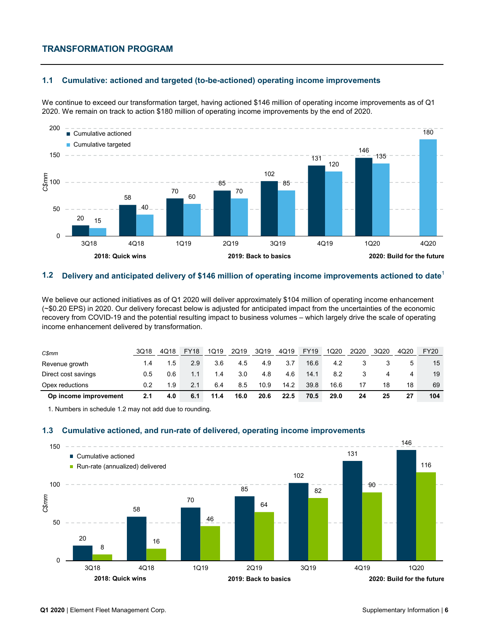# **TRANSFORMATION PROGRAM**

#### **1.1 Cumulative: actioned and targeted (to-be-actioned) operating income improvements**

We continue to exceed our transformation target, having actioned \$146 million of operating income improvements as of Q1 2020. We remain on track to action \$180 million of operating income improvements by the end of 2020.



#### **1.2 Delivery and anticipated delivery of \$146 million of operating income improvements actioned to date**<sup>1</sup>

We believe our actioned initiatives as of Q1 2020 will deliver approximately \$104 million of operating income enhancement (~\$0.20 EPS) in 2020. Our delivery forecast below is adjusted for anticipated impact from the uncertainties of the economic recovery from COVID-19 and the potential resulting impact to business volumes – which largely drive the scale of operating income enhancement delivered by transformation.

| C\$mm                 | 3Q18 | 4Q18          | <b>FY18</b> | 1Q19 | 2Q19 | 3Q19 | 4Q19 | <b>FY19</b> | 1Q20 | 2Q20 | 3Q20 | 4Q20 | <b>FY20</b> |
|-----------------------|------|---------------|-------------|------|------|------|------|-------------|------|------|------|------|-------------|
| Revenue growth        |      | $1.5^{\circ}$ | 2.9         | 3.6  | 4.5  | 4.9  | 3.7  | 16.6        | 4.2  |      |      |      | 15          |
| Direct cost savings   | 0.5  | 0.6           | 1.1         | 1.4  | 3.0  | 4.8  | 4.6  | 14.1        | 8.2  |      |      |      | 19          |
| Opex reductions       | 0.2  | 1.9           | 2.1         | 6.4  | 8.5  | 10.9 | 14.2 | 39.8        | 16.6 |      | 18   | 18   | 69          |
| Op income improvement | 2.1  | 4.0           | 6.1         | 11.4 | 16.0 | 20.6 | 22.5 | 70.5        | 29.0 | 24   | 25   | 27   | 104         |

1. Numbers in schedule 1.2 may not add due to rounding.

#### **1.3 Cumulative actioned, and run-rate of delivered, operating income improvements**

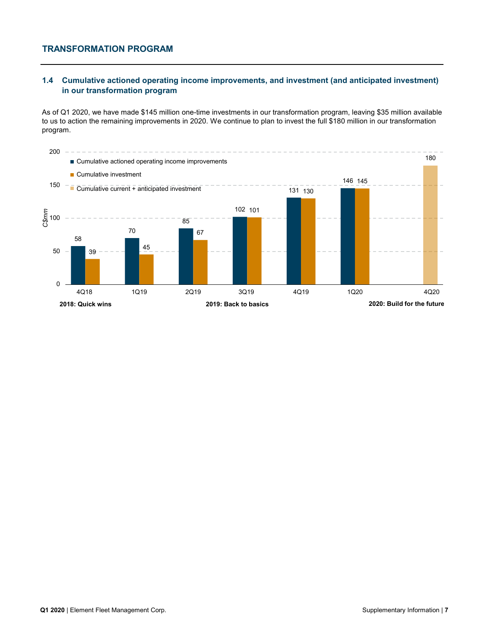# **TRANSFORMATION PROGRAM**

# **1.4 Cumulative actioned operating income improvements, and investment (and anticipated investment) in our transformation program**

As of Q1 2020, we have made \$145 million one-time investments in our transformation program, leaving \$35 million available to us to action the remaining improvements in 2020. We continue to plan to invest the full \$180 million in our transformation program.

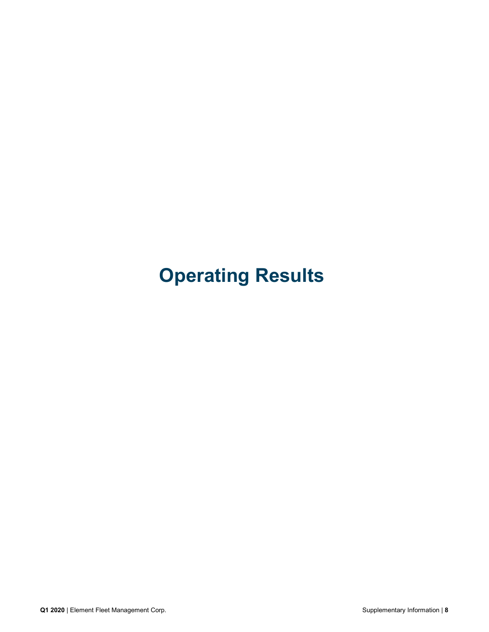# **Operating Results**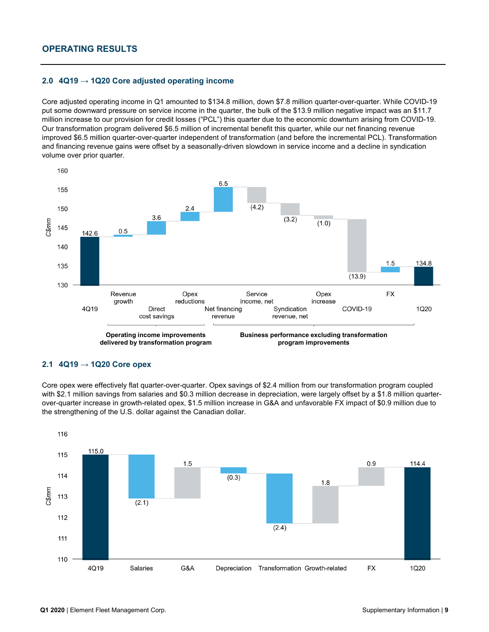# **2.0 4Q19 → 1Q20 Core adjusted operating income**

Core adjusted operating income in Q1 amounted to \$134.8 million, down \$7.8 million quarter-over-quarter. While COVID-19 put some downward pressure on service income in the quarter, the bulk of the \$13.9 million negative impact was an \$11.7 million increase to our provision for credit losses ("PCL") this quarter due to the economic downturn arising from COVID-19. Our transformation program delivered \$6.5 million of incremental benefit this quarter, while our net financing revenue improved \$6.5 million quarter-over-quarter independent of transformation (and before the incremental PCL). Transformation and financing revenue gains were offset by a seasonally-driven slowdown in service income and a decline in syndication volume over prior quarter.



#### **2.1 4Q19 → 1Q20 Core opex**

Core opex were effectively flat quarter-over-quarter. Opex savings of \$2.4 million from our transformation program coupled with \$2.1 million savings from salaries and \$0.3 million decrease in depreciation, were largely offset by a \$1.8 million quarterover-quarter increase in growth-related opex, \$1.5 million increase in G&A and unfavorable FX impact of \$0.9 million due to the strengthening of the U.S. dollar against the Canadian dollar.

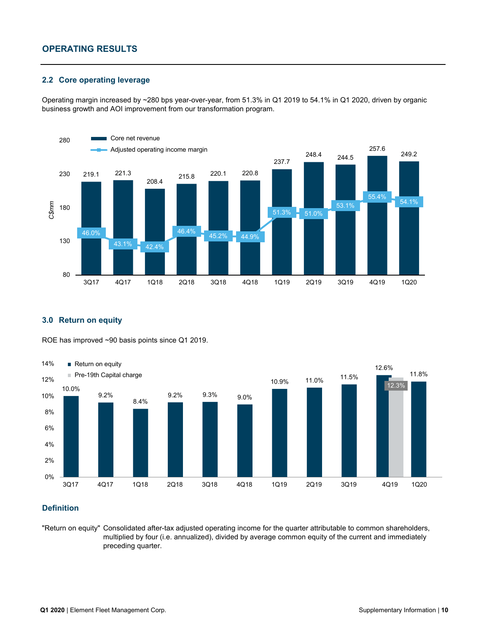# **OPERATING RESULTS**

### **2.2 Core operating leverage**

Operating margin increased by ~280 bps year-over-year, from 51.3% in Q1 2019 to 54.1% in Q1 2020, driven by organic business growth and AOI improvement from our transformation program.



# **3.0 Return on equity**

ROE has improved ~90 basis points since Q1 2019.



# **Definition**

"Return on equity" Consolidated after-tax adjusted operating income for the quarter attributable to common shareholders, multiplied by four (i.e. annualized), divided by average common equity of the current and immediately preceding quarter.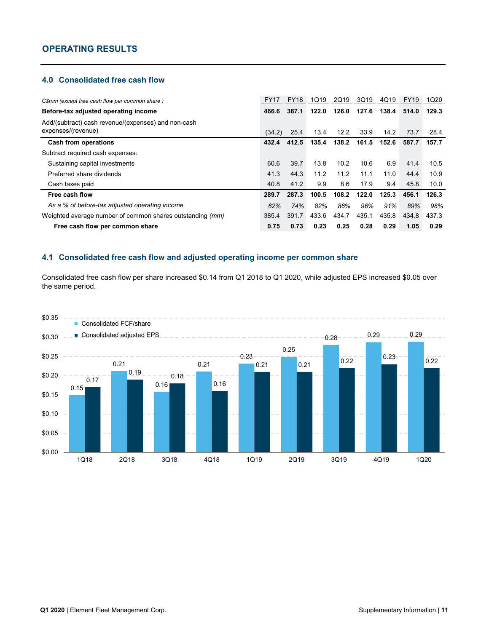# **4.0 Consolidated free cash flow**

| C\$mm (except free cash flow per common share)                            | <b>FY17</b> | <b>FY18</b> | 1Q19  | 2Q19  | 3Q19  | 4Q19  | <b>FY19</b> | 1Q20  |
|---------------------------------------------------------------------------|-------------|-------------|-------|-------|-------|-------|-------------|-------|
| Before-tax adjusted operating income                                      | 466.6       | 387.1       | 122.0 | 126.0 | 127.6 | 138.4 | 514.0       | 129.3 |
| Add/(subtract) cash revenue/(expenses) and non-cash<br>expenses/(revenue) | (34.2)      | 25.4        | 13.4  | 12.2  | 33.9  | 14.2  | 73.7        | 28.4  |
| <b>Cash from operations</b>                                               | 432.4       | 412.5       | 135.4 | 138.2 | 161.5 | 152.6 | 587.7       | 157.7 |
| Subtract required cash expenses:                                          |             |             |       |       |       |       |             |       |
| Sustaining capital investments                                            | 60.6        | 39.7        | 13.8  | 10.2  | 10.6  | 6.9   | 41.4        | 10.5  |
| Preferred share dividends                                                 | 41.3        | 44.3        | 11.2  | 11.2  | 11.1  | 11.0  | 44.4        | 10.9  |
| Cash taxes paid                                                           | 40.8        | 41.2        | 9.9   | 8.6   | 17.9  | 9.4   | 45.8        | 10.0  |
| Free cash flow                                                            | 289.7       | 287.3       | 100.5 | 108.2 | 122.0 | 125.3 | 456.1       | 126.3 |
| As a % of before-tax adjusted operating income                            | 62%         | 74%         | 82%   | 86%   | 96%   | 91%   | 89%         | 98%   |
| Weighted average number of common shares outstanding (mm)                 | 385.4       | 391.7       | 433.6 | 434.7 | 435.1 | 435.8 | 434.8       | 437.3 |
| Free cash flow per common share                                           | 0.75        | 0.73        | 0.23  | 0.25  | 0.28  | 0.29  | 1.05        | 0.29  |

# **4.1 Consolidated free cash flow and adjusted operating income per common share**

Consolidated free cash flow per share increased \$0.14 from Q1 2018 to Q1 2020, while adjusted EPS increased \$0.05 over the same period.

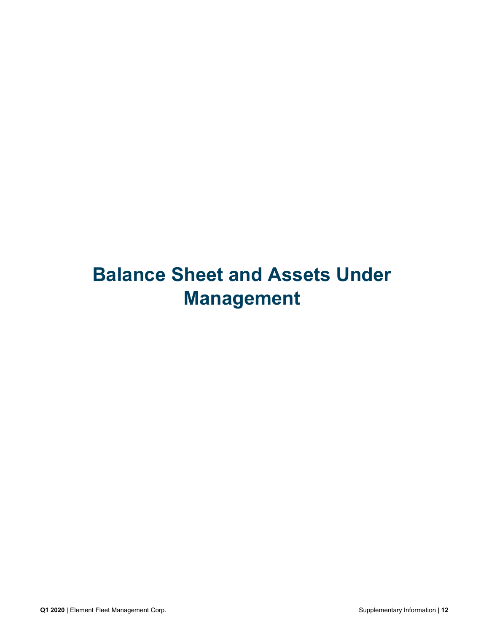# **Balance Sheet and Assets Under Management**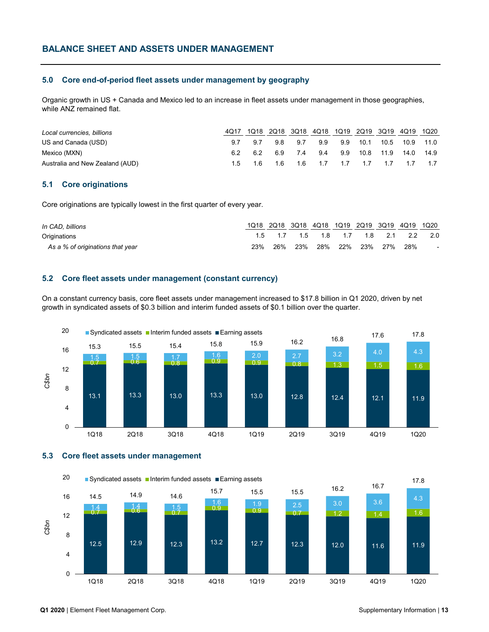### **5.0 Core end-of-period fleet assets under management by geography**

Organic growth in US + Canada and Mexico led to an increase in fleet assets under management in those geographies, while ANZ remained flat.

| Local currencies, billions      |     | 1Q18 2Q18 3Q18 4Q18 1Q19 2Q19 3Q19 4Q19 1Q20 |     |  |  |  |
|---------------------------------|-----|----------------------------------------------|-----|--|--|--|
| US and Canada (USD)             | 9.7 | 98 97                                        | 9.9 |  |  |  |
| Mexico (MXN)                    | 6.2 | 6.9 7.4 9.4 9.9 10.8 11.9 14.0 14.9          |     |  |  |  |
| Australia and New Zealand (AUD) |     | 1.5 1.6 1.6 1.6 1.7 1.7 1.7 1.7 1.7 1.7      |     |  |  |  |

# **5.1 Core originations**

Core originations are typically lowest in the first quarter of every year.

| In CAD, billions                 |     |     |  |  | 1Q18 2Q18 3Q18 4Q18 1Q19 2Q19 3Q19 4Q19 1Q20 |     |        |
|----------------------------------|-----|-----|--|--|----------------------------------------------|-----|--------|
| Originations                     |     |     |  |  | 1.5 1.7 1.5 1.8 1.7 1.8 2.1 2.2 2.0          |     |        |
| As a % of originations that year | 23% | 26% |  |  | 23% 28% 22% 23% 27%                          | 28% | $\sim$ |

### **5.2 Core fleet assets under management (constant currency)**

On a constant currency basis, core fleet assets under management increased to \$17.8 billion in Q1 2020, driven by net growth in syndicated assets of \$0.3 billion and interim funded assets of \$0.1 billion over the quarter.



#### **5.3 Core fleet assets under management**

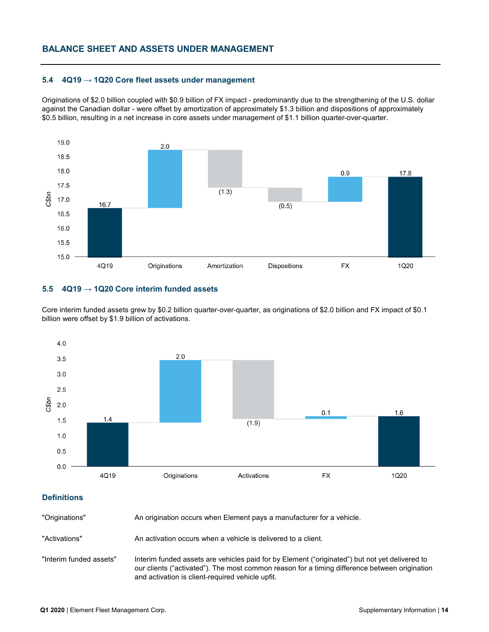### **5.4 4Q19 → 1Q20 Core fleet assets under management**

Originations of \$2.0 billion coupled with \$0.9 billion of FX impact - predominantly due to the strengthening of the U.S. dollar against the Canadian dollar - were offset by amortization of approximately \$1.3 billion and dispositions of approximately \$0.5 billion, resulting in a net increase in core assets under management of \$1.1 billion quarter-over-quarter.



# **5.5 4Q19 → 1Q20 Core interim funded assets**

Core interim funded assets grew by \$0.2 billion quarter-over-quarter, as originations of \$2.0 billion and FX impact of \$0.1 billion were offset by \$1.9 billion of activations.



# **Definitions**

"Originations" An origination occurs when Element pays a manufacturer for a vehicle.

"Activations" An activation occurs when a vehicle is delivered to a client.

"Interim funded assets" Interim funded assets are vehicles paid for by Element ("originated") but not yet delivered to our clients ("activated"). The most common reason for a timing difference between origination and activation is client-required vehicle upfit.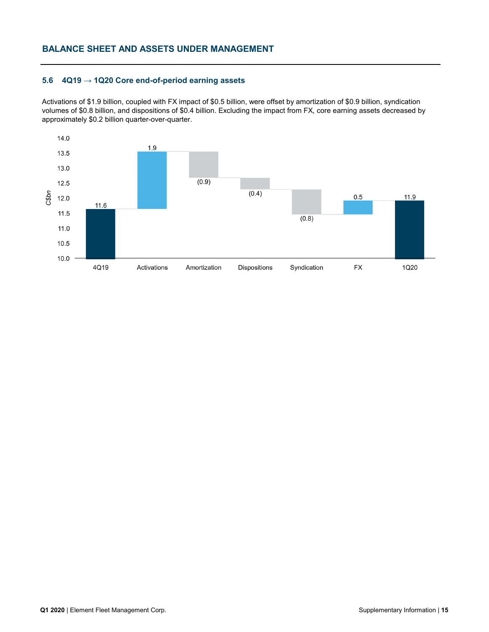# **BALANCE SHEET AND ASSETS UNDER MANAGEMENT**

# **5.6 4Q19 → 1Q20 Core end-of-period earning assets**

Activations of \$1.9 billion, coupled with FX impact of \$0.5 billion, were offset by amortization of \$0.9 billion, syndication volumes of \$0.8 billion, and dispositions of \$0.4 billion. Excluding the impact from FX, core earning assets decreased by approximately \$0.2 billion quarter-over-quarter.

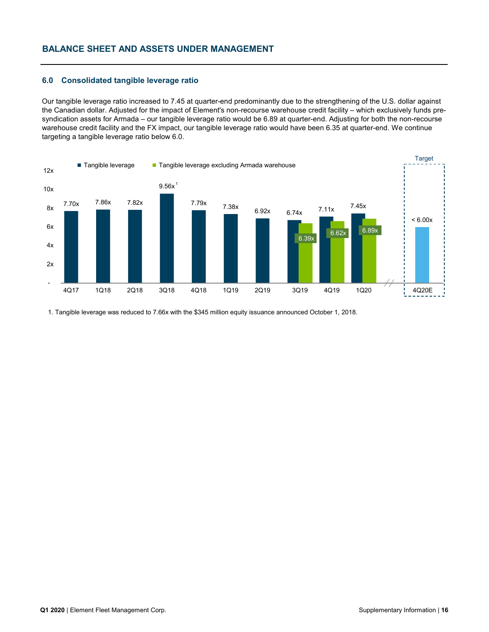# **BALANCE SHEET AND ASSETS UNDER MANAGEMENT**

#### **6.0 Consolidated tangible leverage ratio**

Our tangible leverage ratio increased to 7.45 at quarter-end predominantly due to the strengthening of the U.S. dollar against the Canadian dollar. Adjusted for the impact of Element's non-recourse warehouse credit facility – which exclusively funds presyndication assets for Armada – our tangible leverage ratio would be 6.89 at quarter-end. Adjusting for both the non-recourse warehouse credit facility and the FX impact, our tangible leverage ratio would have been 6.35 at quarter-end. We continue targeting a tangible leverage ratio below 6.0.



1. Tangible leverage was reduced to 7.66x with the \$345 million equity issuance announced October 1, 2018.